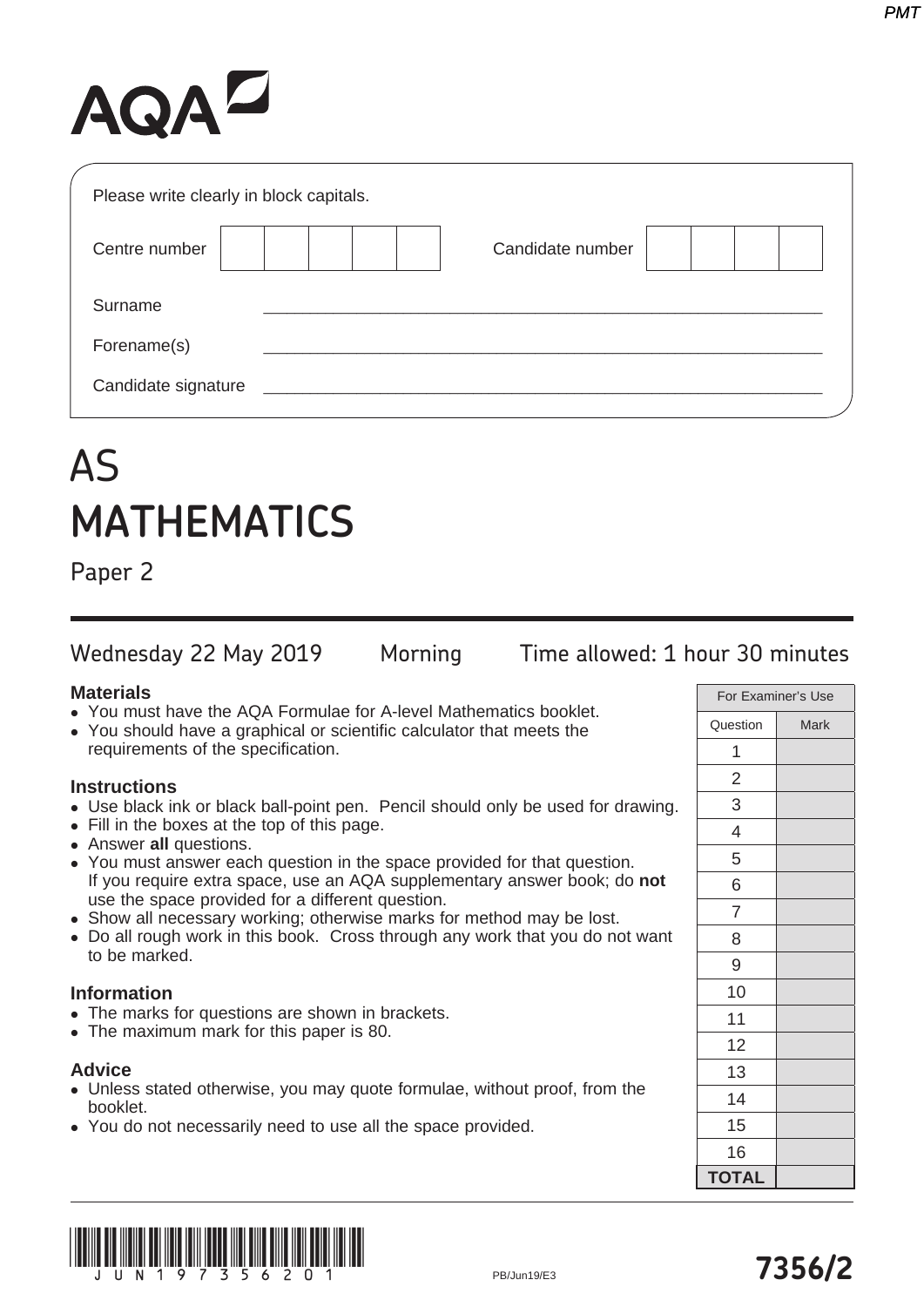# AQAZ

| Please write clearly in block capitals. |                  |  |
|-----------------------------------------|------------------|--|
| Centre number                           | Candidate number |  |
| Surname                                 |                  |  |
| Forename(s)                             |                  |  |
| Candidate signature                     |                  |  |

# AS **MATHEMATICS**

Paper 2

Wednesday 22 May 2019 Morning Time allowed: 1 hour 30 minutes

## **Materials**

- You must have the AQA Formulae for A-level Mathematics booklet.
- You should have a graphical or scientific calculator that meets the requirements of the specification.

## **Instructions**

- Use black ink or black ball-point pen. Pencil should only be used for drawing.
- Fill in the boxes at the top of this page.
- **Answer all questions.**
- You must answer each question in the space provided for that question. If you require extra space, use an AQA supplementary answer book; do **not** use the space provided for a different question.
- Show all necessary working; otherwise marks for method may be lost.
- Do all rough work in this book. Cross through any work that you do not want to be marked.

#### **Information**

- The marks for questions are shown in brackets.
- The maximum mark for this paper is 80.

#### **Advice**

- Unless stated otherwise, you may quote formulae, without proof, from the booklet.
- You do not necessarily need to use all the space provided.

|                | For Examiner's Use |
|----------------|--------------------|
| Question       | <b>Mark</b>        |
| 1              |                    |
| $\overline{c}$ |                    |
| 3              |                    |
| 4              |                    |
| 5              |                    |
| 6              |                    |
| $\overline{7}$ |                    |
| 8              |                    |
| 9              |                    |
| 10             |                    |
| 11             |                    |
| 12             |                    |
| 13             |                    |
| 14             |                    |
| 15             |                    |
| 16             |                    |
| <b>TOTAL</b>   |                    |

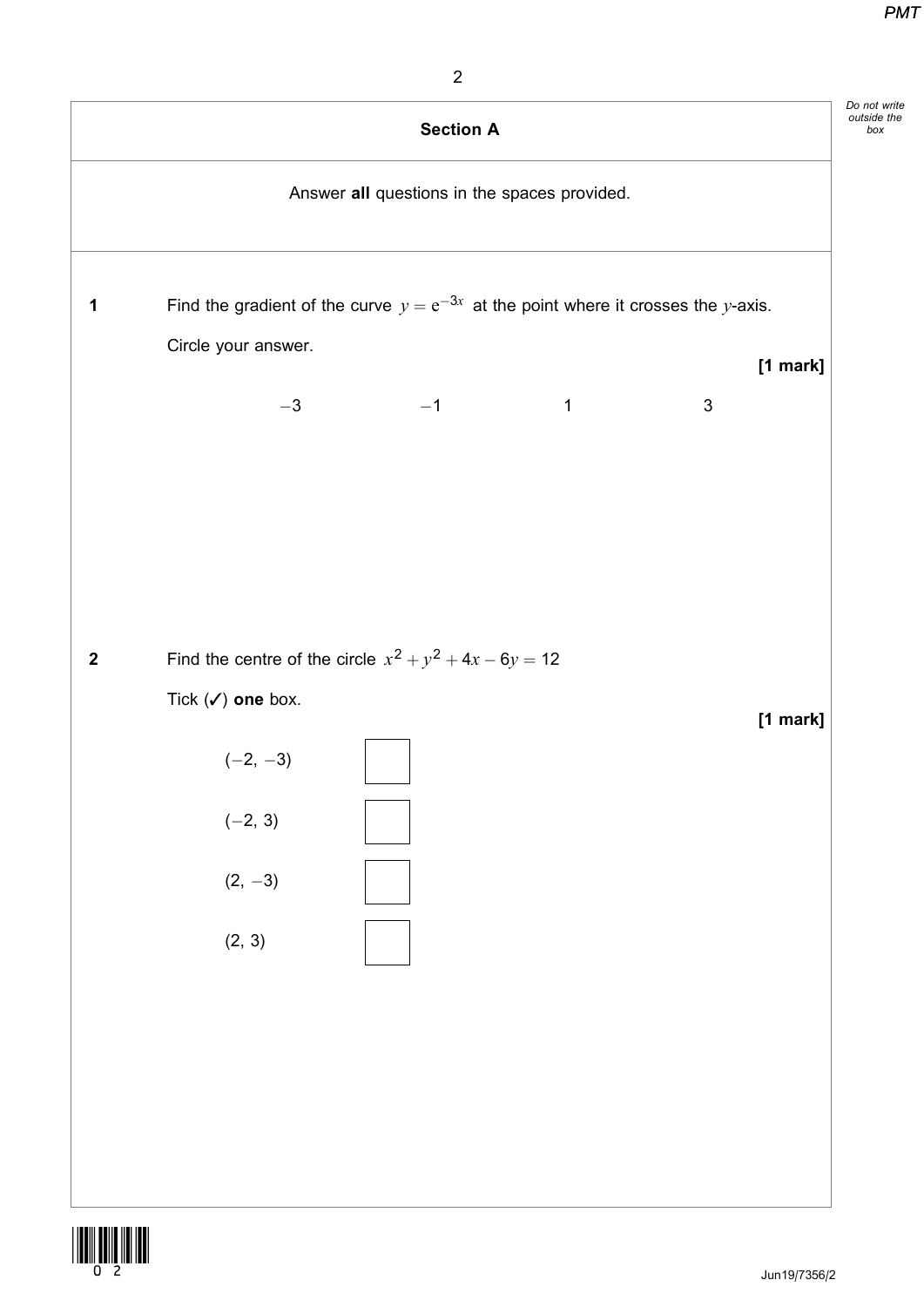box



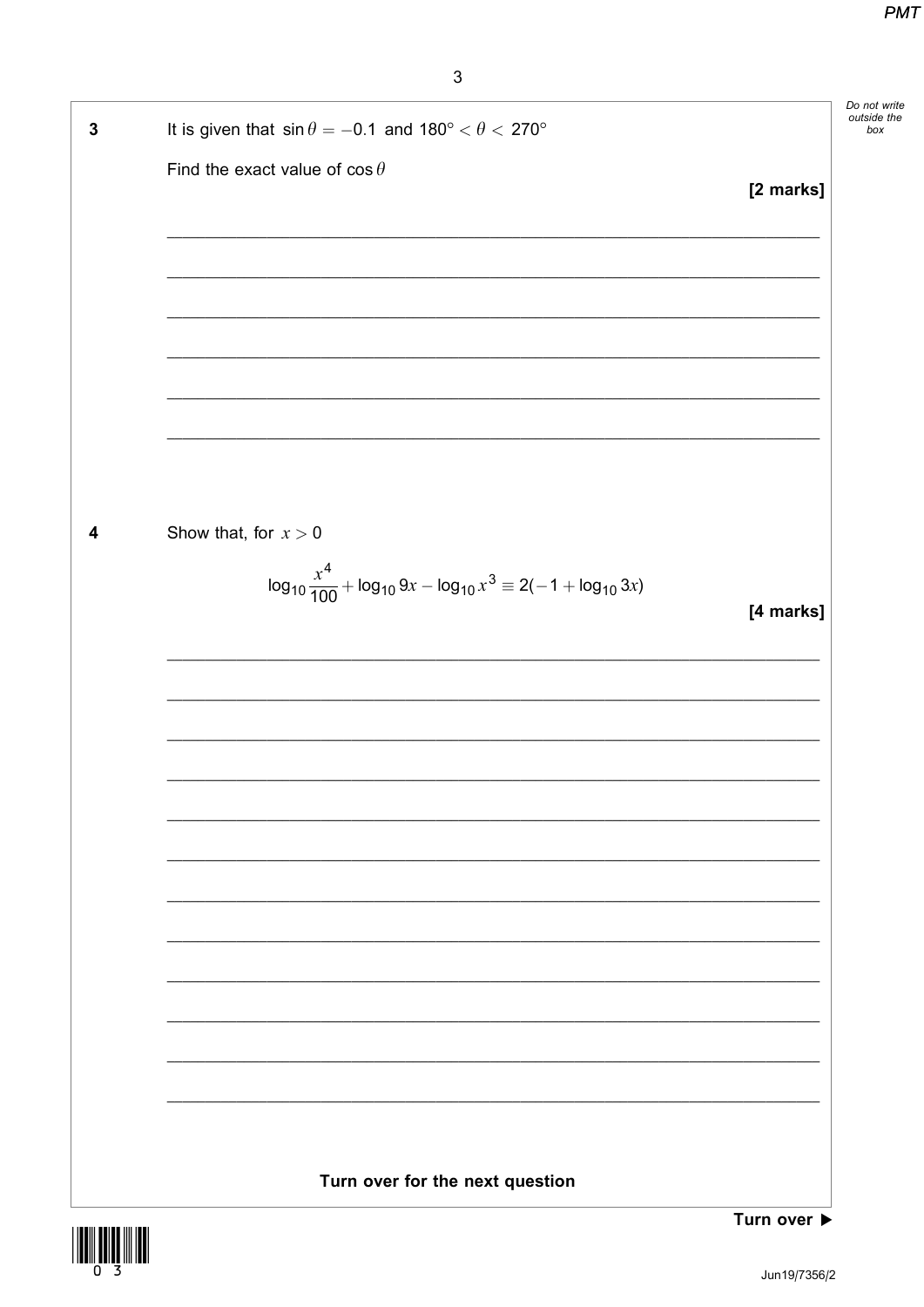| $\mathbf{3}$ | It is given that $\sin \theta = -0.1$ and $180^{\circ} < \theta < 270^{\circ}$         | Do not write<br>outside the<br>box |
|--------------|----------------------------------------------------------------------------------------|------------------------------------|
|              | Find the exact value of $\cos \theta$                                                  |                                    |
|              | [2 marks]                                                                              |                                    |
|              |                                                                                        |                                    |
|              |                                                                                        |                                    |
|              |                                                                                        |                                    |
|              |                                                                                        |                                    |
|              |                                                                                        |                                    |
|              |                                                                                        |                                    |
|              |                                                                                        |                                    |
| 4            | Show that, for $x > 0$                                                                 |                                    |
|              | $\log_{10} \frac{x^4}{100} + \log_{10} 9x - \log_{10} x^3 \equiv 2(-1 + \log_{10} 3x)$ |                                    |
|              | [4 marks]                                                                              |                                    |
|              |                                                                                        |                                    |
|              |                                                                                        |                                    |
|              |                                                                                        |                                    |
|              |                                                                                        |                                    |
|              |                                                                                        |                                    |
|              |                                                                                        |                                    |
|              |                                                                                        |                                    |
|              |                                                                                        |                                    |
|              |                                                                                        |                                    |
|              |                                                                                        |                                    |
|              |                                                                                        |                                    |
|              |                                                                                        |                                    |
|              |                                                                                        |                                    |
|              | Turn over for the next question                                                        |                                    |
|              | Turn over ▶                                                                            |                                    |

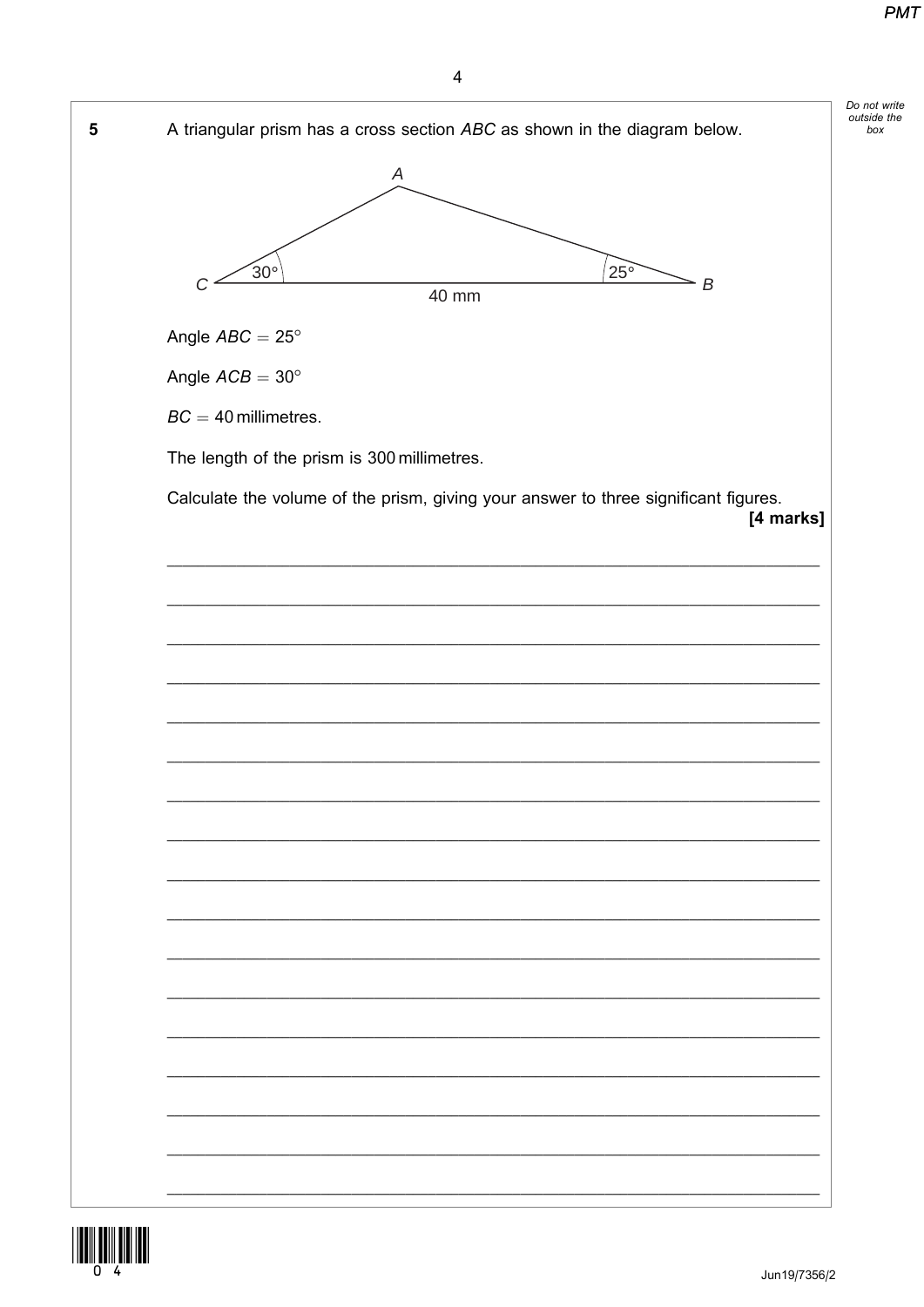

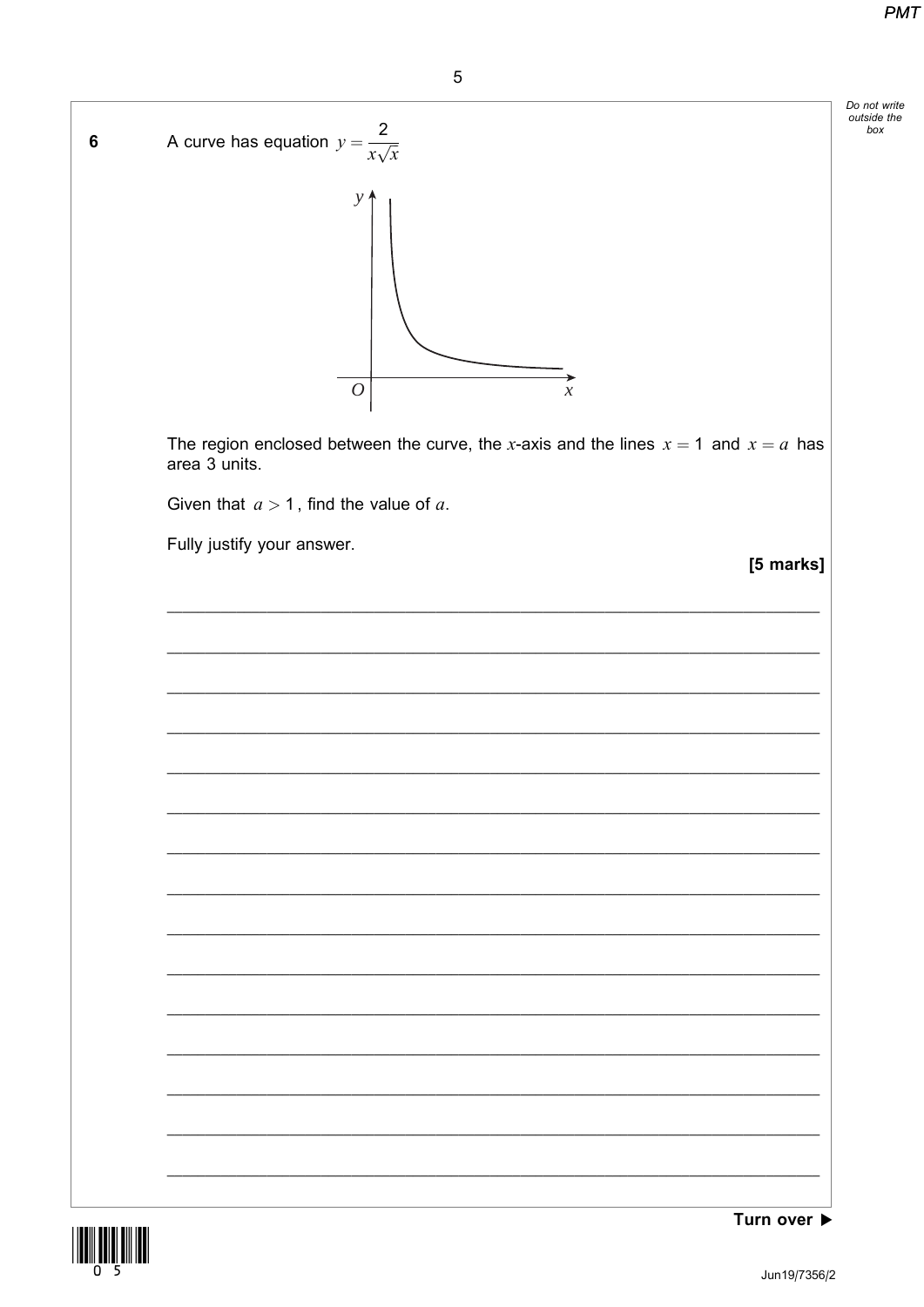box



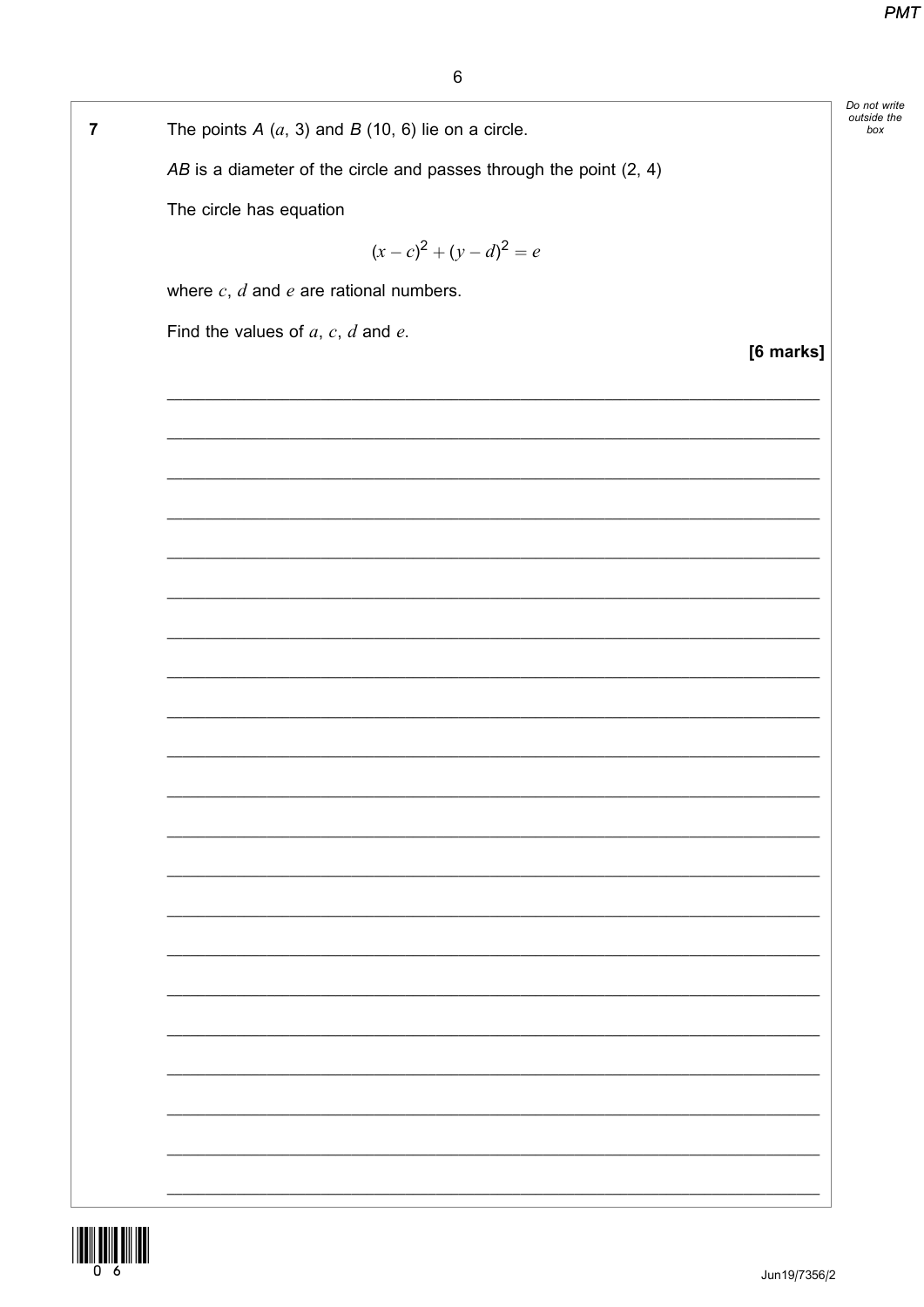|   |                                                                      |           | Do not write       |
|---|----------------------------------------------------------------------|-----------|--------------------|
| 7 | The points $A(a, 3)$ and $B(10, 6)$ lie on a circle.                 |           | outside the<br>box |
|   | $AB$ is a diameter of the circle and passes through the point (2, 4) |           |                    |
|   | The circle has equation                                              |           |                    |
|   | $(x-c)^2 + (y-d)^2 = e$                                              |           |                    |
|   | where $c, d$ and $e$ are rational numbers.                           |           |                    |
|   | Find the values of $a, c, d$ and $e$ .                               |           |                    |
|   |                                                                      | [6 marks] |                    |
|   |                                                                      |           |                    |
|   |                                                                      |           |                    |
|   |                                                                      |           |                    |
|   |                                                                      |           |                    |
|   |                                                                      |           |                    |
|   |                                                                      |           |                    |
|   |                                                                      |           |                    |
|   |                                                                      |           |                    |
|   |                                                                      |           |                    |
|   |                                                                      |           |                    |
|   |                                                                      |           |                    |
|   |                                                                      |           |                    |
|   |                                                                      |           |                    |
|   |                                                                      |           |                    |
|   |                                                                      |           |                    |
|   |                                                                      |           |                    |
|   |                                                                      |           |                    |
|   |                                                                      |           |                    |
|   |                                                                      |           |                    |
|   |                                                                      |           |                    |
|   |                                                                      |           |                    |

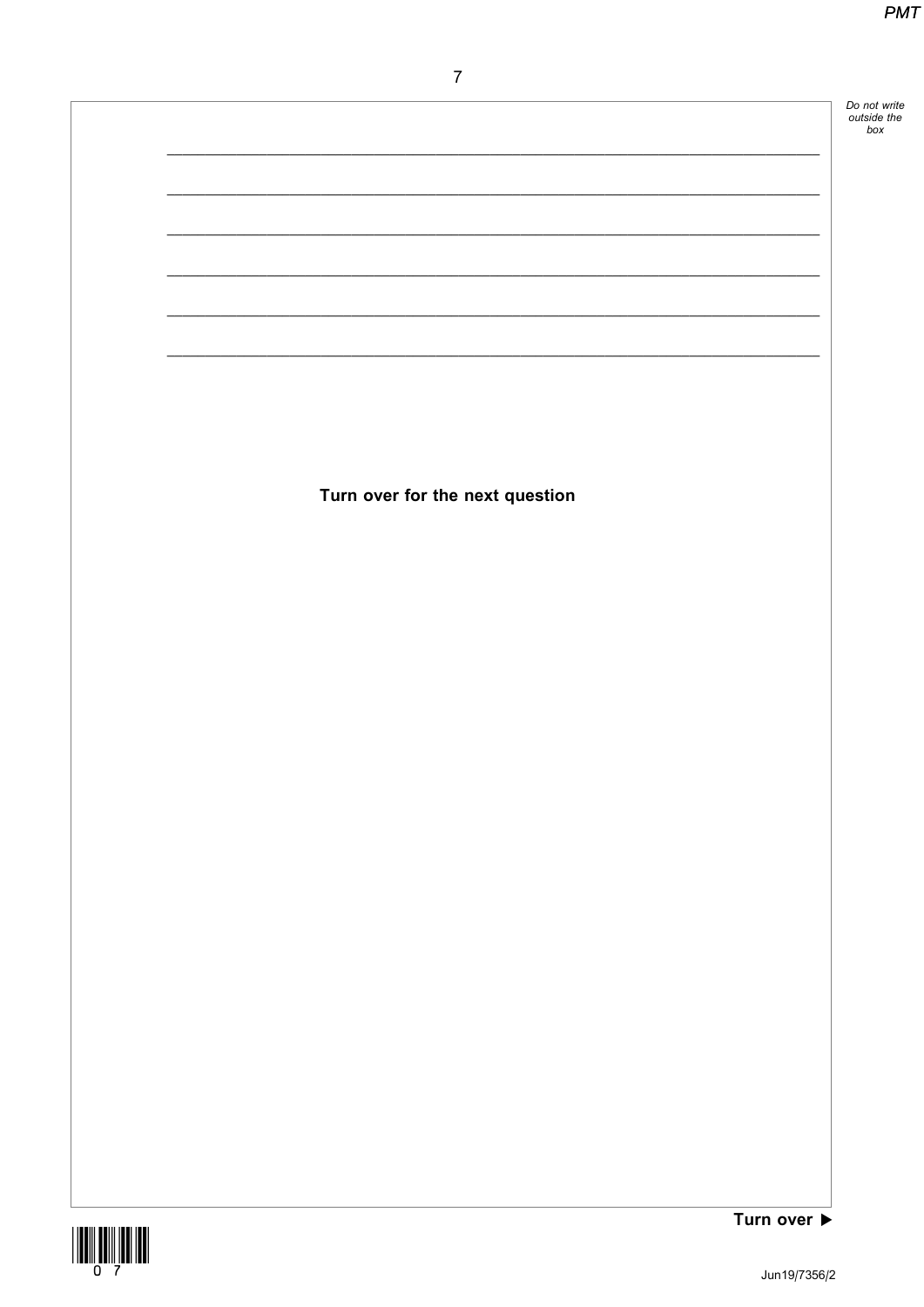Do not write<br>outside the<br>box

 $\overline{7}$ 

Turn over for the next question



Turn over  $\blacktriangleright$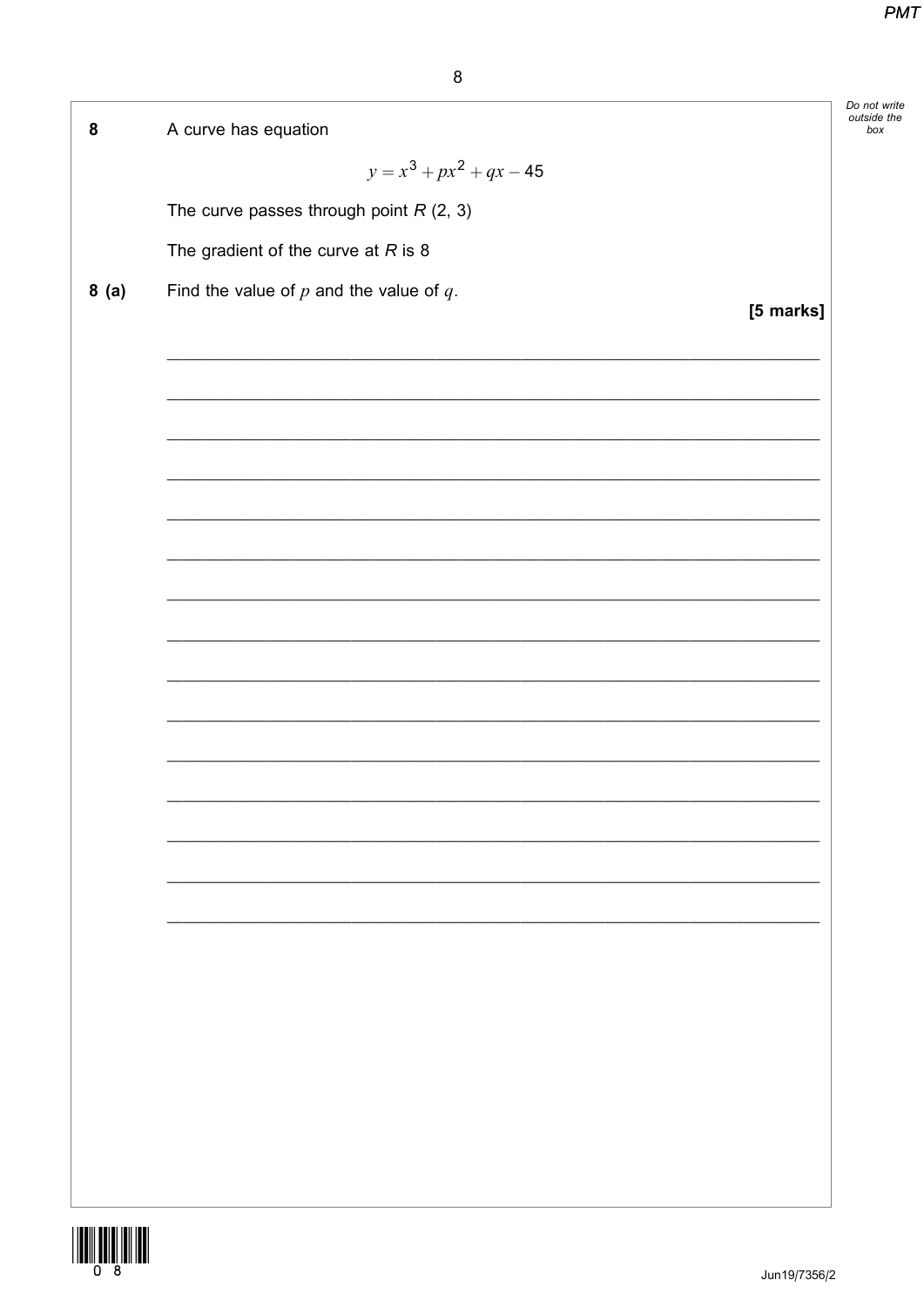Do not write<br>outside the

 $box$ 

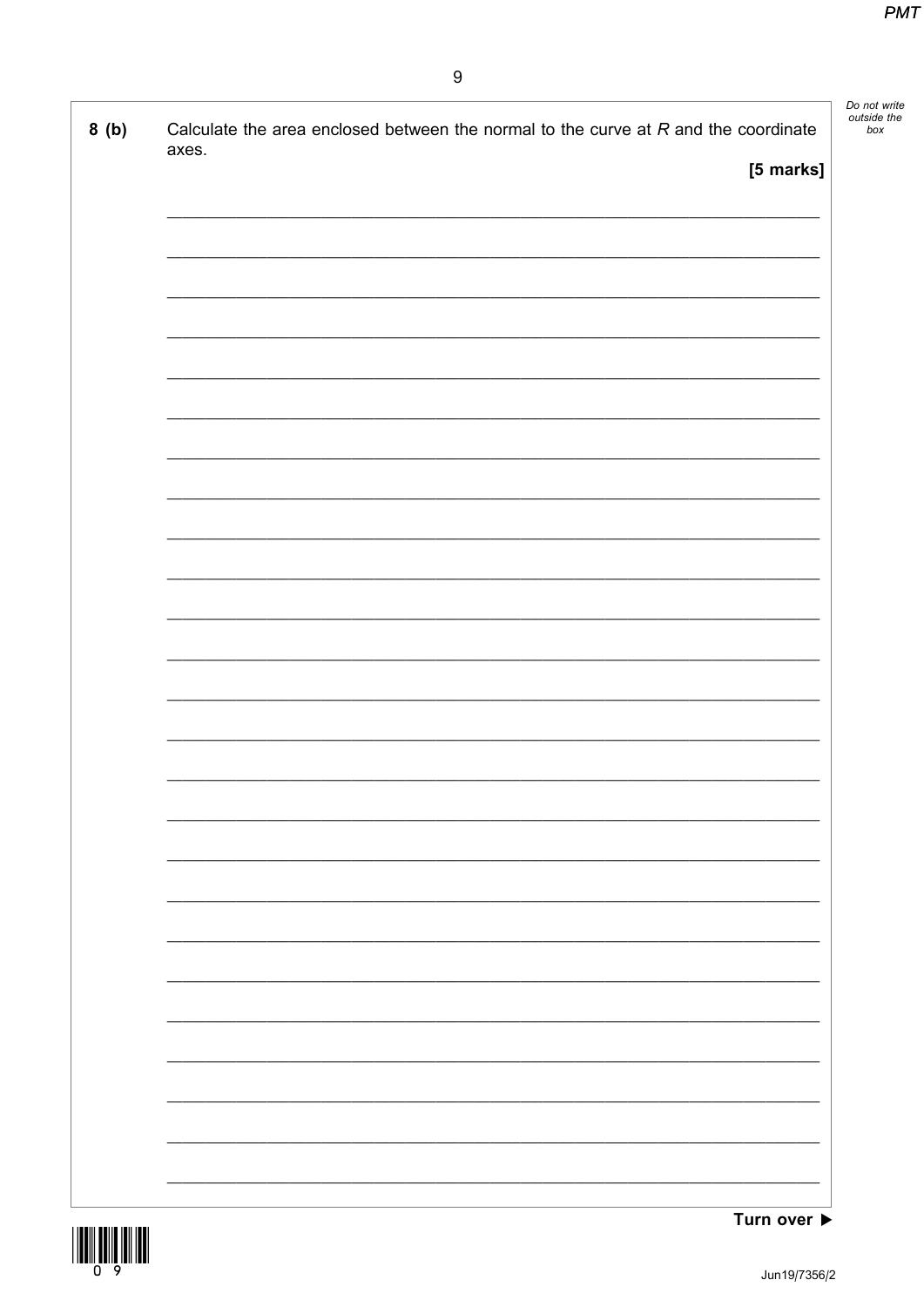|       | Calculate the area enclosed between the normal to the curve at $R$ and the coordinate |           |
|-------|---------------------------------------------------------------------------------------|-----------|
| axes. |                                                                                       |           |
|       |                                                                                       | [5 marks] |
|       |                                                                                       |           |
|       |                                                                                       |           |
|       |                                                                                       |           |
|       |                                                                                       |           |
|       |                                                                                       |           |
|       |                                                                                       |           |
|       |                                                                                       |           |
|       |                                                                                       |           |
|       |                                                                                       |           |
|       |                                                                                       |           |
|       |                                                                                       |           |
|       |                                                                                       |           |
|       |                                                                                       |           |
|       |                                                                                       |           |
|       |                                                                                       |           |
|       |                                                                                       |           |
|       |                                                                                       |           |
|       |                                                                                       |           |
|       |                                                                                       |           |
|       |                                                                                       |           |
|       |                                                                                       |           |
|       |                                                                                       |           |
|       |                                                                                       |           |
|       |                                                                                       |           |
|       |                                                                                       |           |
|       |                                                                                       |           |
|       |                                                                                       |           |
|       |                                                                                       |           |
|       |                                                                                       |           |
|       |                                                                                       |           |
|       |                                                                                       |           |
|       |                                                                                       |           |
|       |                                                                                       |           |
|       |                                                                                       |           |

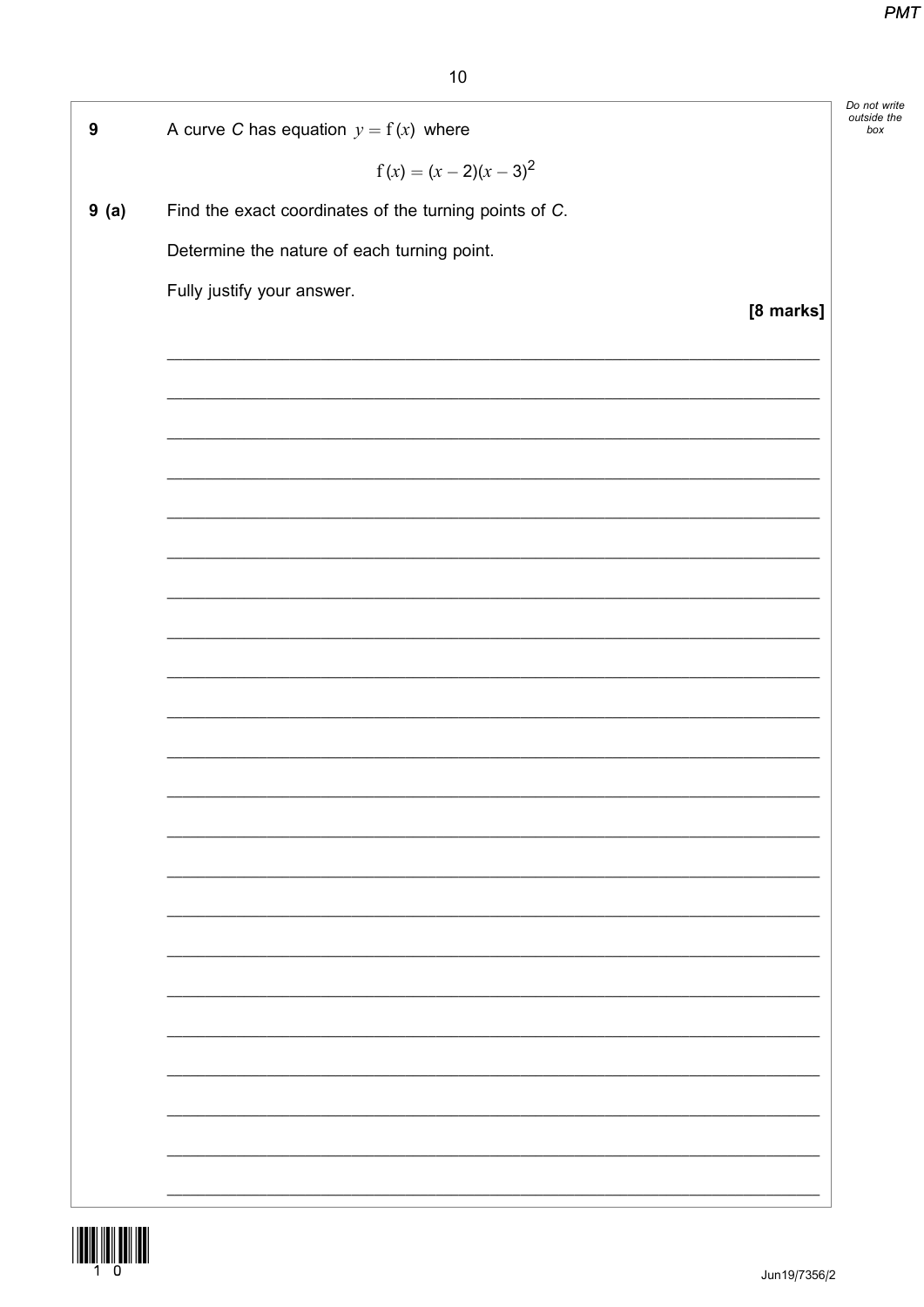|                  |                                                        | Do not write<br>outside the |
|------------------|--------------------------------------------------------|-----------------------------|
| $\boldsymbol{9}$ | A curve C has equation $y = f(x)$ where                |                             |
|                  | $f(x) = (x - 2)(x - 3)^2$                              |                             |
| 9(a)             | Find the exact coordinates of the turning points of C. |                             |
|                  | Determine the nature of each turning point.            |                             |
|                  | Fully justify your answer.                             |                             |
|                  |                                                        | [8 marks]                   |
|                  |                                                        |                             |
|                  |                                                        |                             |
|                  |                                                        |                             |
|                  |                                                        |                             |
|                  |                                                        |                             |
|                  |                                                        |                             |
|                  |                                                        |                             |
|                  |                                                        |                             |
|                  |                                                        |                             |
|                  |                                                        |                             |
|                  |                                                        |                             |
|                  |                                                        |                             |
|                  |                                                        |                             |
|                  |                                                        |                             |
|                  |                                                        |                             |
|                  |                                                        |                             |
|                  |                                                        |                             |
|                  |                                                        |                             |
|                  |                                                        |                             |
|                  |                                                        |                             |
|                  |                                                        |                             |
|                  |                                                        |                             |
|                  |                                                        |                             |
|                  |                                                        |                             |
|                  |                                                        |                             |
|                  |                                                        |                             |
|                  |                                                        |                             |

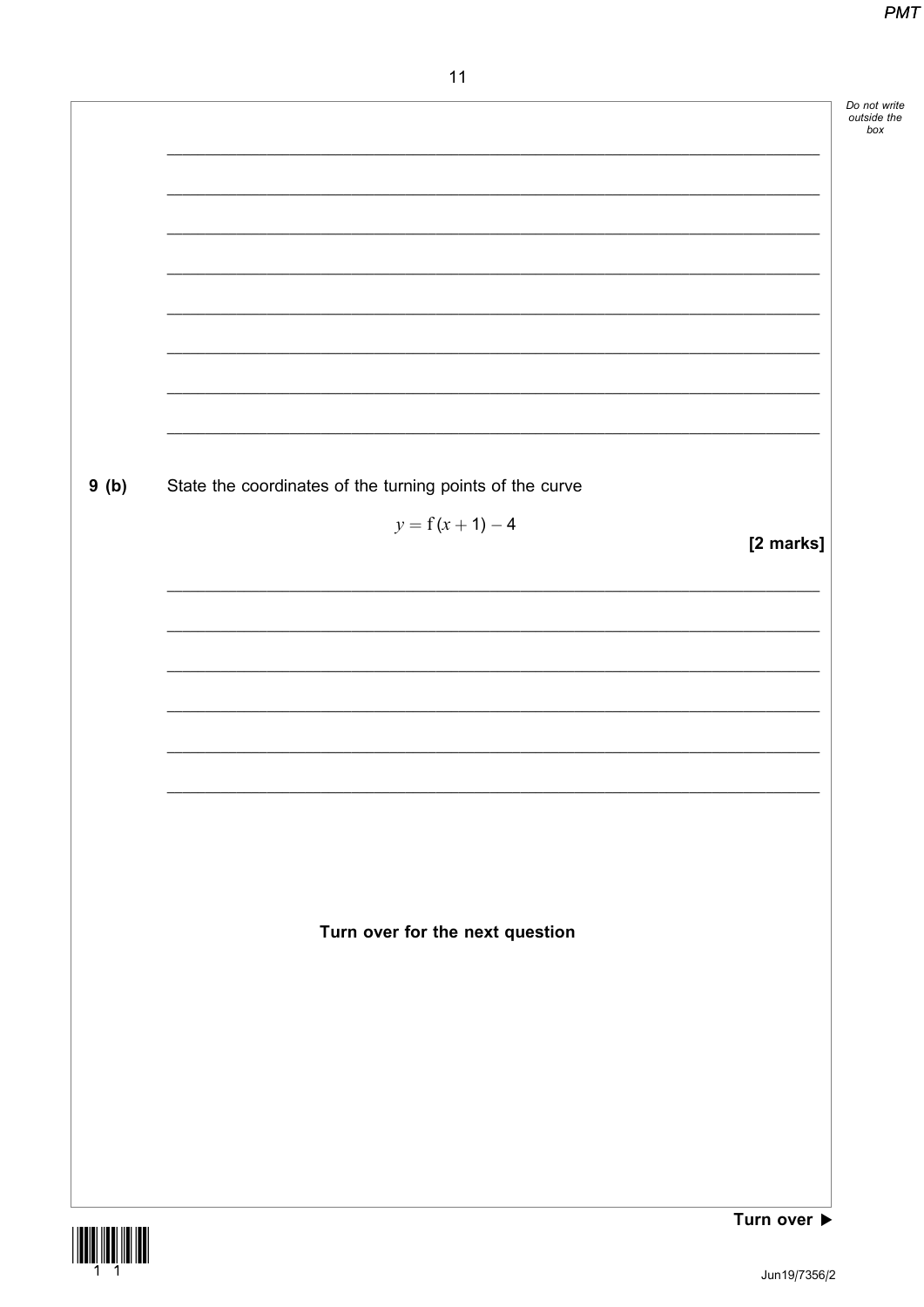|      |                                                          | Do not write<br>outside the<br>box |
|------|----------------------------------------------------------|------------------------------------|
|      |                                                          |                                    |
|      |                                                          |                                    |
|      |                                                          |                                    |
|      |                                                          |                                    |
|      |                                                          |                                    |
|      |                                                          |                                    |
|      |                                                          |                                    |
|      |                                                          |                                    |
|      |                                                          |                                    |
| 9(b) | State the coordinates of the turning points of the curve |                                    |
|      | $y = f(x + 1) - 4$<br>[2 marks]                          |                                    |
|      |                                                          |                                    |
|      |                                                          |                                    |
|      |                                                          |                                    |
|      |                                                          |                                    |
|      |                                                          |                                    |
|      |                                                          |                                    |
|      |                                                          |                                    |
|      |                                                          |                                    |
|      |                                                          |                                    |
|      |                                                          |                                    |
|      | Turn over for the next question                          |                                    |
|      |                                                          |                                    |
|      |                                                          |                                    |
|      |                                                          |                                    |
|      |                                                          |                                    |
|      |                                                          |                                    |
|      |                                                          |                                    |
|      | Turn over $\blacktriangleright$                          |                                    |

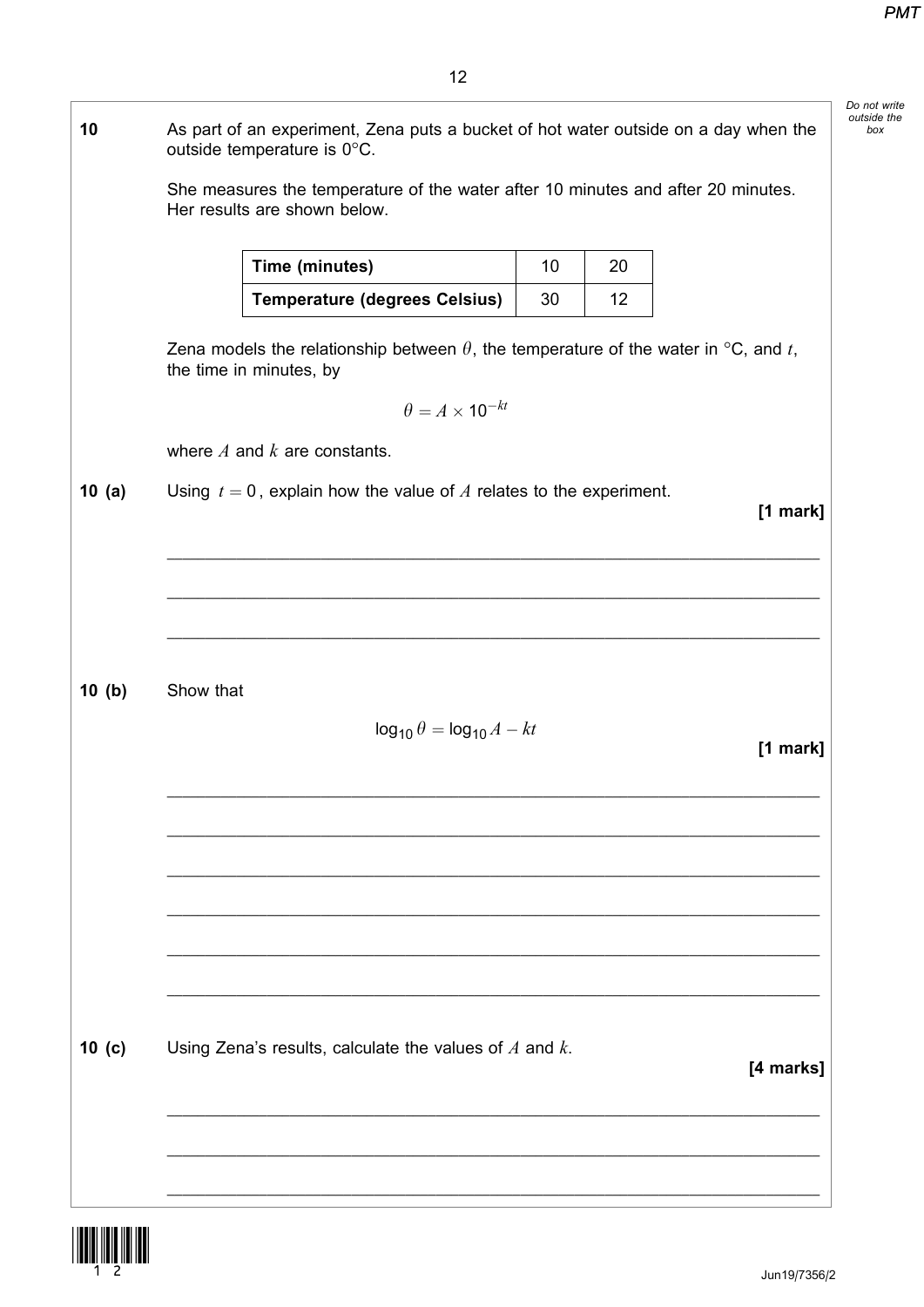|        |           | As part of an experiment, Zena puts a bucket of hot water outside on a day when the<br>outside temperature is 0°C.    |                 |    |           |
|--------|-----------|-----------------------------------------------------------------------------------------------------------------------|-----------------|----|-----------|
|        |           | She measures the temperature of the water after 10 minutes and after 20 minutes.<br>Her results are shown below.      |                 |    |           |
|        |           | Time (minutes)                                                                                                        | 10 <sup>°</sup> | 20 |           |
|        |           | <b>Temperature (degrees Celsius)</b>                                                                                  | 30              | 12 |           |
|        |           | Zena models the relationship between $\theta$ , the temperature of the water in °C, and t,<br>the time in minutes, by |                 |    |           |
|        |           | $\theta = A \times 10^{-kt}$                                                                                          |                 |    |           |
|        |           | where $A$ and $k$ are constants.                                                                                      |                 |    |           |
| 10(a)  |           | Using $t = 0$ , explain how the value of A relates to the experiment.                                                 |                 |    | [1 mark]  |
|        |           |                                                                                                                       |                 |    |           |
|        |           |                                                                                                                       |                 |    |           |
|        |           |                                                                                                                       |                 |    |           |
|        |           |                                                                                                                       |                 |    |           |
| 10 (b) | Show that |                                                                                                                       |                 |    |           |
|        |           | $\log_{10} \theta = \log_{10} A - kt$                                                                                 |                 |    | [1 mark]  |
|        |           |                                                                                                                       |                 |    |           |
|        |           |                                                                                                                       |                 |    |           |
|        |           |                                                                                                                       |                 |    |           |
|        |           |                                                                                                                       |                 |    |           |
|        |           |                                                                                                                       |                 |    |           |
|        |           |                                                                                                                       |                 |    |           |
| 10(c)  |           | Using Zena's results, calculate the values of $A$ and $k$ .                                                           |                 |    |           |
|        |           |                                                                                                                       |                 |    | [4 marks] |
|        |           |                                                                                                                       |                 |    |           |
|        |           |                                                                                                                       |                 |    |           |
|        |           |                                                                                                                       |                 |    |           |

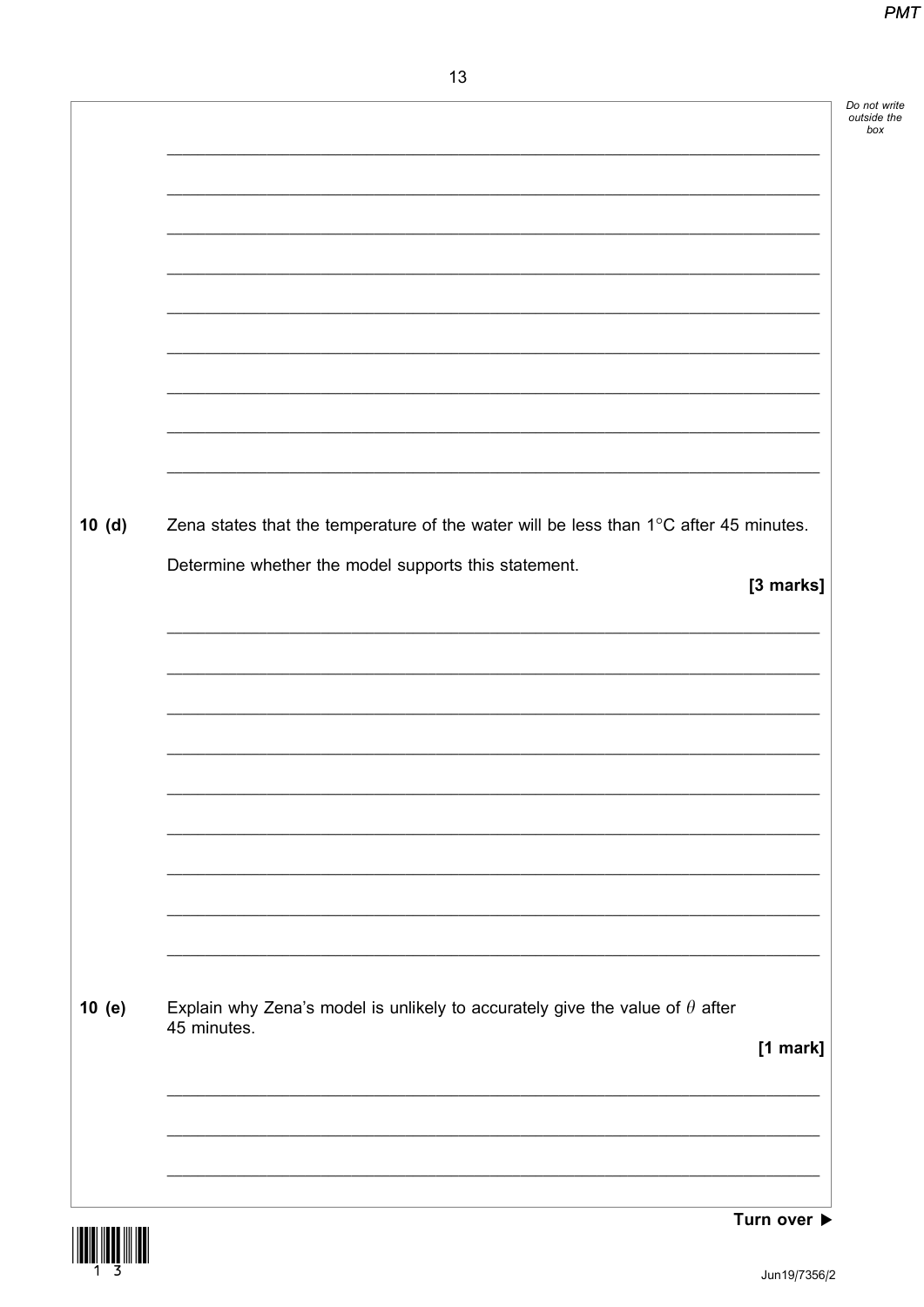|       |                                                                                                                                                         | Do not write<br>outside the |
|-------|---------------------------------------------------------------------------------------------------------------------------------------------------------|-----------------------------|
|       |                                                                                                                                                         |                             |
|       |                                                                                                                                                         |                             |
|       |                                                                                                                                                         |                             |
|       |                                                                                                                                                         |                             |
|       |                                                                                                                                                         |                             |
| 10(d) | Zena states that the temperature of the water will be less than $1^{\circ}$ C after 45 minutes.<br>Determine whether the model supports this statement. |                             |
|       | [3 marks]                                                                                                                                               |                             |
|       |                                                                                                                                                         |                             |
|       |                                                                                                                                                         |                             |
|       |                                                                                                                                                         |                             |
|       | <u> 1989 - Johann Harry Harry Harry Harry Harry Harry Harry Harry Harry Harry Harry Harry Harry Harry Harry Harry</u>                                   |                             |
|       |                                                                                                                                                         |                             |
| 10(e) | Explain why Zena's model is unlikely to accurately give the value of $\theta$ after<br>45 minutes.                                                      |                             |
|       | [1 mark]<br><u> 1989 - Johann Stoff, amerikansk politiker (d. 1989)</u>                                                                                 |                             |
|       |                                                                                                                                                         |                             |
|       |                                                                                                                                                         |                             |



Turn over  $\blacktriangleright$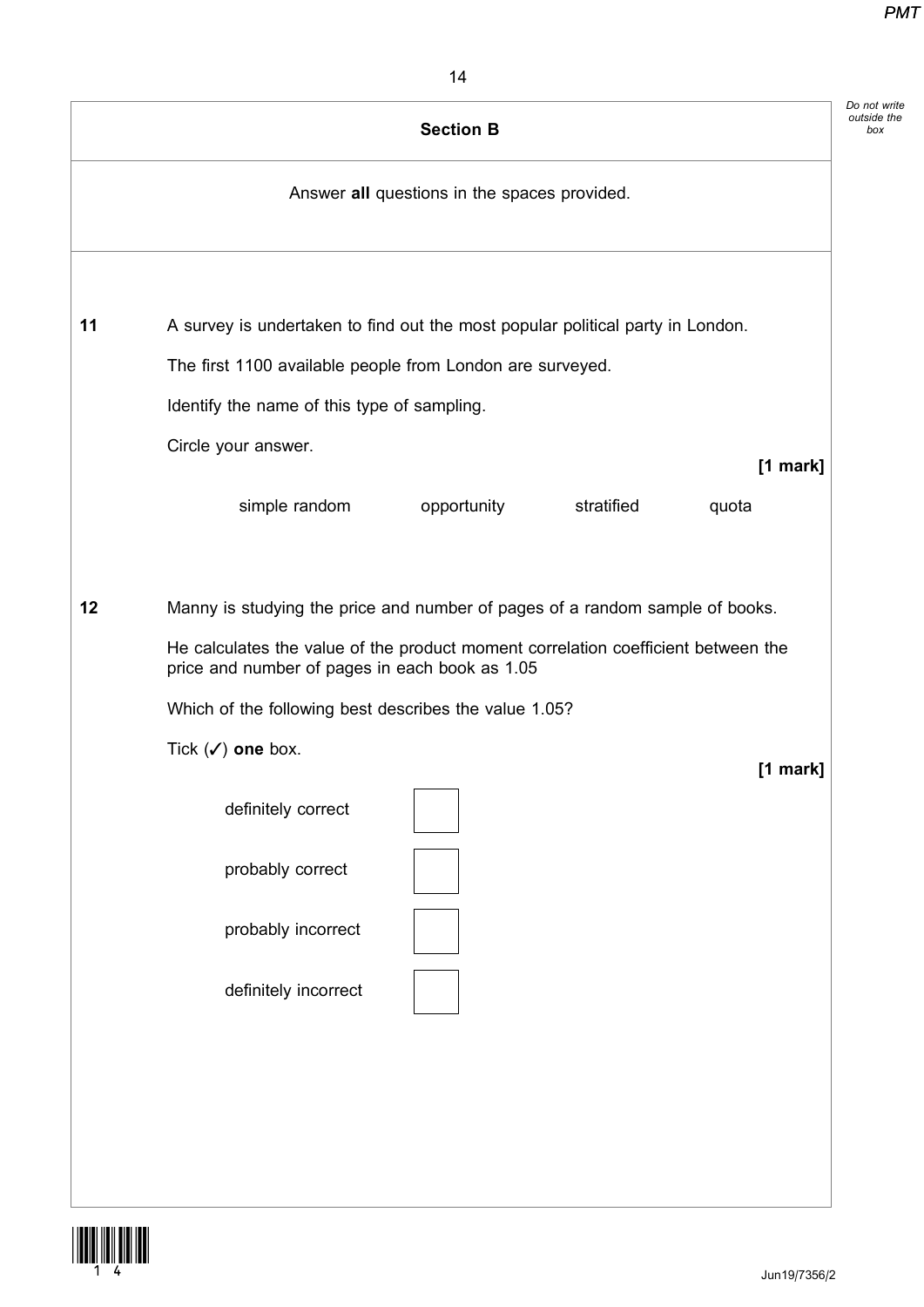| Answer all questions in the spaces provided.<br>11<br>A survey is undertaken to find out the most popular political party in London.<br>The first 1100 available people from London are surveyed.<br>Identify the name of this type of sampling.<br>Circle your answer.<br>simple random<br>stratified<br>opportunity<br>quota<br>12<br>Manny is studying the price and number of pages of a random sample of books.<br>He calculates the value of the product moment correlation coefficient between the<br>price and number of pages in each book as 1.05<br>Which of the following best describes the value 1.05?<br>Tick $(\checkmark)$ one box.<br>definitely correct<br>probably correct<br>probably incorrect | $[1$ mark]<br>$[1$ mark]<br>definitely incorrect | <b>Section B</b> |  |
|----------------------------------------------------------------------------------------------------------------------------------------------------------------------------------------------------------------------------------------------------------------------------------------------------------------------------------------------------------------------------------------------------------------------------------------------------------------------------------------------------------------------------------------------------------------------------------------------------------------------------------------------------------------------------------------------------------------------|--------------------------------------------------|------------------|--|
|                                                                                                                                                                                                                                                                                                                                                                                                                                                                                                                                                                                                                                                                                                                      |                                                  |                  |  |
|                                                                                                                                                                                                                                                                                                                                                                                                                                                                                                                                                                                                                                                                                                                      |                                                  |                  |  |
|                                                                                                                                                                                                                                                                                                                                                                                                                                                                                                                                                                                                                                                                                                                      |                                                  |                  |  |
|                                                                                                                                                                                                                                                                                                                                                                                                                                                                                                                                                                                                                                                                                                                      |                                                  |                  |  |
|                                                                                                                                                                                                                                                                                                                                                                                                                                                                                                                                                                                                                                                                                                                      |                                                  |                  |  |
|                                                                                                                                                                                                                                                                                                                                                                                                                                                                                                                                                                                                                                                                                                                      |                                                  |                  |  |
|                                                                                                                                                                                                                                                                                                                                                                                                                                                                                                                                                                                                                                                                                                                      |                                                  |                  |  |
|                                                                                                                                                                                                                                                                                                                                                                                                                                                                                                                                                                                                                                                                                                                      |                                                  |                  |  |
|                                                                                                                                                                                                                                                                                                                                                                                                                                                                                                                                                                                                                                                                                                                      |                                                  |                  |  |
|                                                                                                                                                                                                                                                                                                                                                                                                                                                                                                                                                                                                                                                                                                                      |                                                  |                  |  |

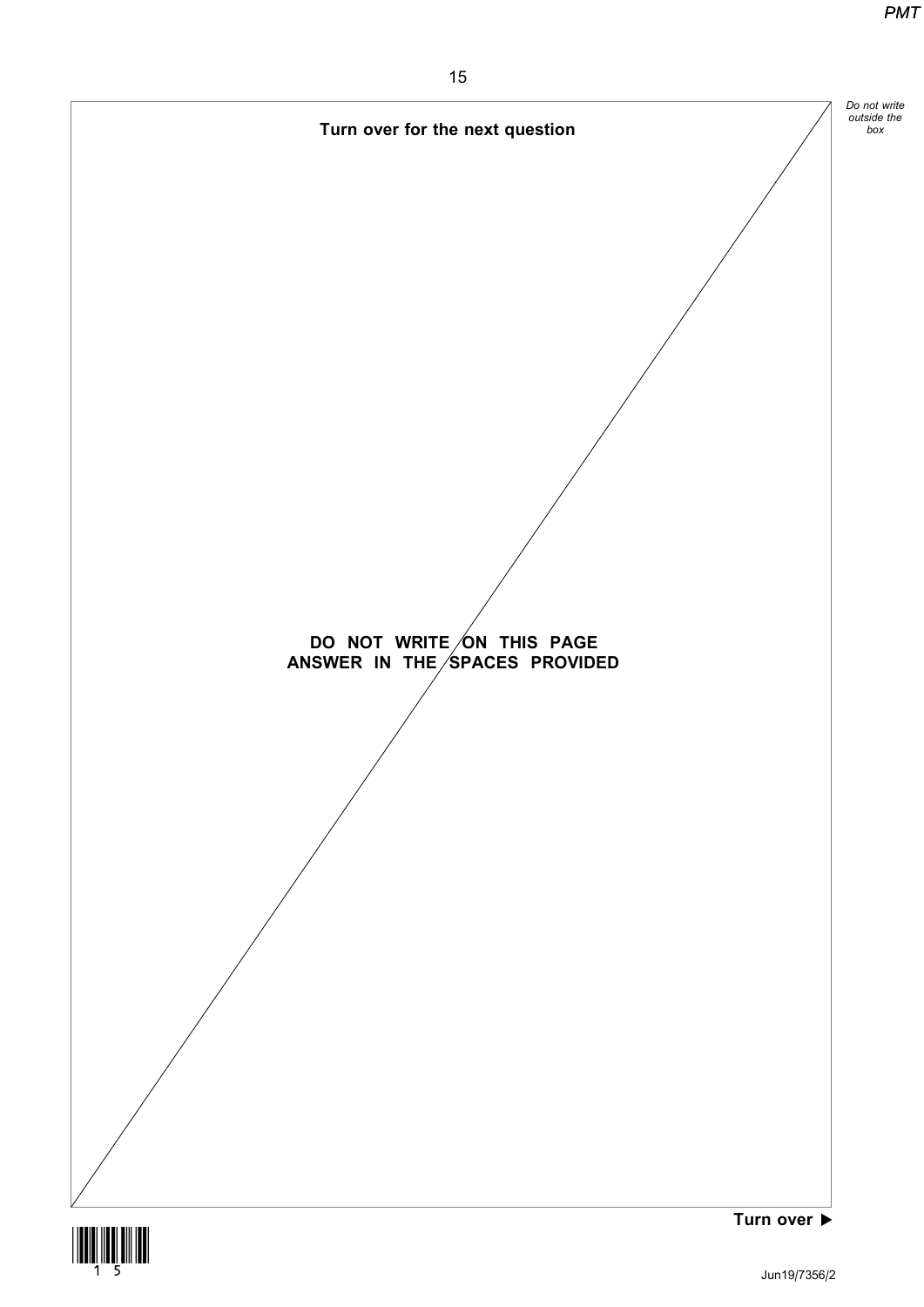

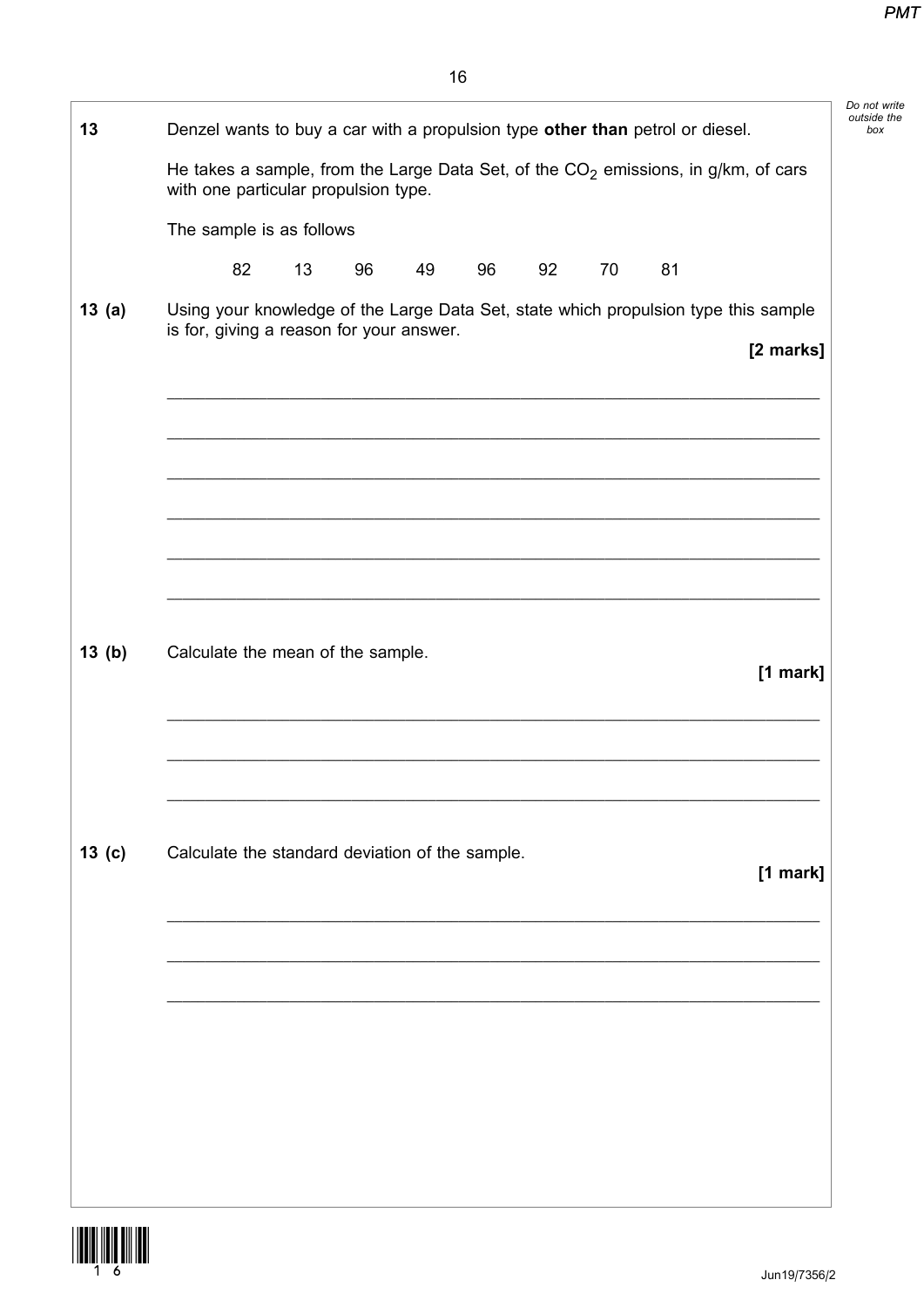| 13                | Denzel wants to buy a car with a propulsion type other than petrol or diesel.                                                   |    |    |    |    |    |    |    |           |
|-------------------|---------------------------------------------------------------------------------------------------------------------------------|----|----|----|----|----|----|----|-----------|
|                   | He takes a sample, from the Large Data Set, of the $CO2$ emissions, in g/km, of cars<br>with one particular propulsion type.    |    |    |    |    |    |    |    |           |
|                   | The sample is as follows                                                                                                        |    |    |    |    |    |    |    |           |
|                   | 82                                                                                                                              | 13 | 96 | 49 | 96 | 92 | 70 | 81 |           |
| 13(a)             | Using your knowledge of the Large Data Set, state which propulsion type this sample<br>is for, giving a reason for your answer. |    |    |    |    |    |    |    | [2 marks] |
|                   |                                                                                                                                 |    |    |    |    |    |    |    |           |
|                   |                                                                                                                                 |    |    |    |    |    |    |    |           |
| 13(b)             | Calculate the mean of the sample.                                                                                               |    |    |    |    |    |    |    | [1 mark]  |
|                   |                                                                                                                                 |    |    |    |    |    |    |    |           |
| 13 <sub>(c)</sub> | Calculate the standard deviation of the sample.                                                                                 |    |    |    |    |    |    |    | [1 mark]  |
|                   |                                                                                                                                 |    |    |    |    |    |    |    |           |
|                   |                                                                                                                                 |    |    |    |    |    |    |    |           |
|                   |                                                                                                                                 |    |    |    |    |    |    |    |           |
|                   |                                                                                                                                 |    |    |    |    |    |    |    |           |
|                   |                                                                                                                                 |    |    |    |    |    |    |    |           |

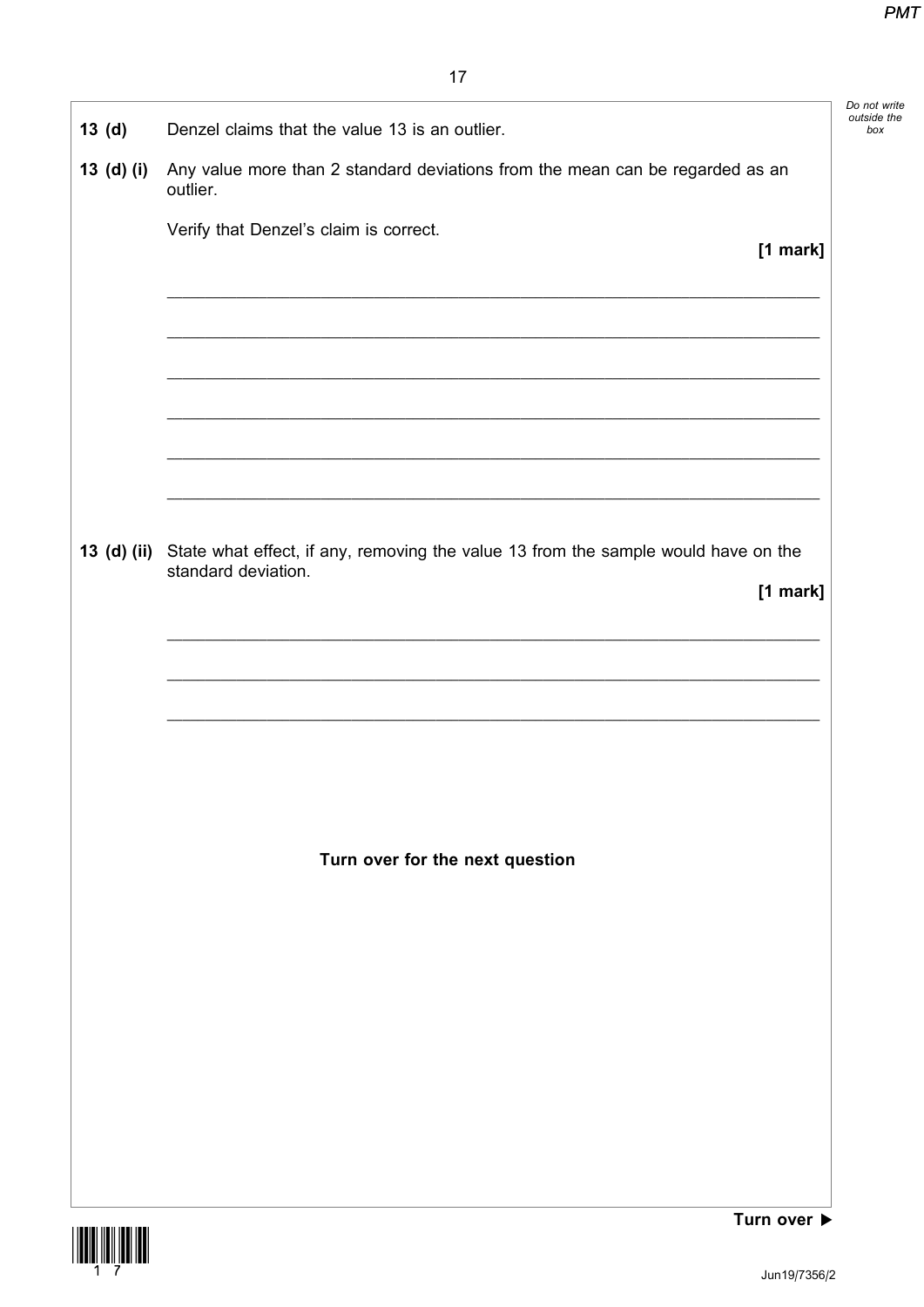|                   |                                                                                                           | Do not write<br>outside the |
|-------------------|-----------------------------------------------------------------------------------------------------------|-----------------------------|
| 13 <sub>(d)</sub> | Denzel claims that the value 13 is an outlier.                                                            |                             |
| 13 (d) (i)        | Any value more than 2 standard deviations from the mean can be regarded as an<br>outlier.                 |                             |
|                   | Verify that Denzel's claim is correct.                                                                    |                             |
|                   | [1 mark]                                                                                                  |                             |
|                   |                                                                                                           |                             |
|                   |                                                                                                           |                             |
|                   |                                                                                                           |                             |
|                   |                                                                                                           |                             |
|                   |                                                                                                           |                             |
|                   |                                                                                                           |                             |
|                   |                                                                                                           |                             |
| 13 (d) (ii)       | State what effect, if any, removing the value 13 from the sample would have on the<br>standard deviation. |                             |
|                   | [1 mark]                                                                                                  |                             |
|                   |                                                                                                           |                             |
|                   |                                                                                                           |                             |
|                   |                                                                                                           |                             |
|                   |                                                                                                           |                             |
|                   |                                                                                                           |                             |
|                   |                                                                                                           |                             |
|                   | Turn over for the next question                                                                           |                             |
|                   |                                                                                                           |                             |
|                   |                                                                                                           |                             |
|                   |                                                                                                           |                             |
|                   |                                                                                                           |                             |
|                   |                                                                                                           |                             |
|                   |                                                                                                           |                             |
|                   |                                                                                                           |                             |
|                   |                                                                                                           |                             |
|                   |                                                                                                           |                             |
|                   | $T_{\text{I}}$                                                                                            |                             |

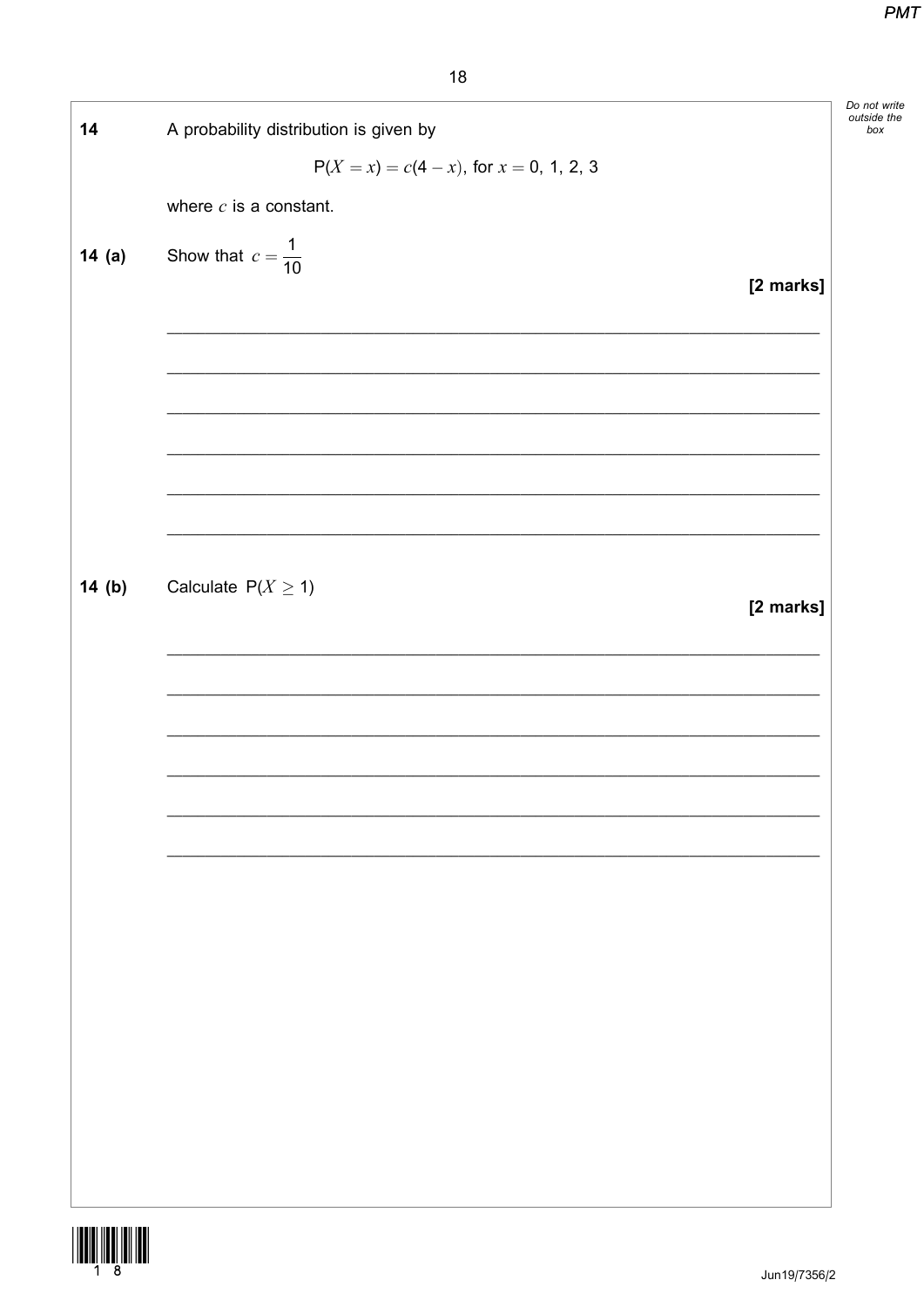Do not write<br>outside the<br>box

| 14    | A probability distribution is given by       |           |
|-------|----------------------------------------------|-----------|
|       | $P(X = x) = c(4 - x)$ , for $x = 0, 1, 2, 3$ |           |
|       | where $c$ is a constant.                     |           |
| 14(a) | Show that $c = \frac{1}{10}$                 |           |
|       |                                              | [2 marks] |
|       |                                              |           |
|       |                                              |           |
|       |                                              |           |
|       |                                              |           |
|       |                                              |           |
|       |                                              |           |
| 14(b) | Calculate $P(X \ge 1)$                       |           |
|       |                                              | [2 marks] |
|       |                                              |           |
|       |                                              |           |
|       |                                              |           |
|       |                                              |           |
|       |                                              |           |
|       |                                              |           |
|       |                                              |           |
|       |                                              |           |
|       |                                              |           |
|       |                                              |           |
|       |                                              |           |
|       |                                              |           |
|       |                                              |           |
|       |                                              |           |

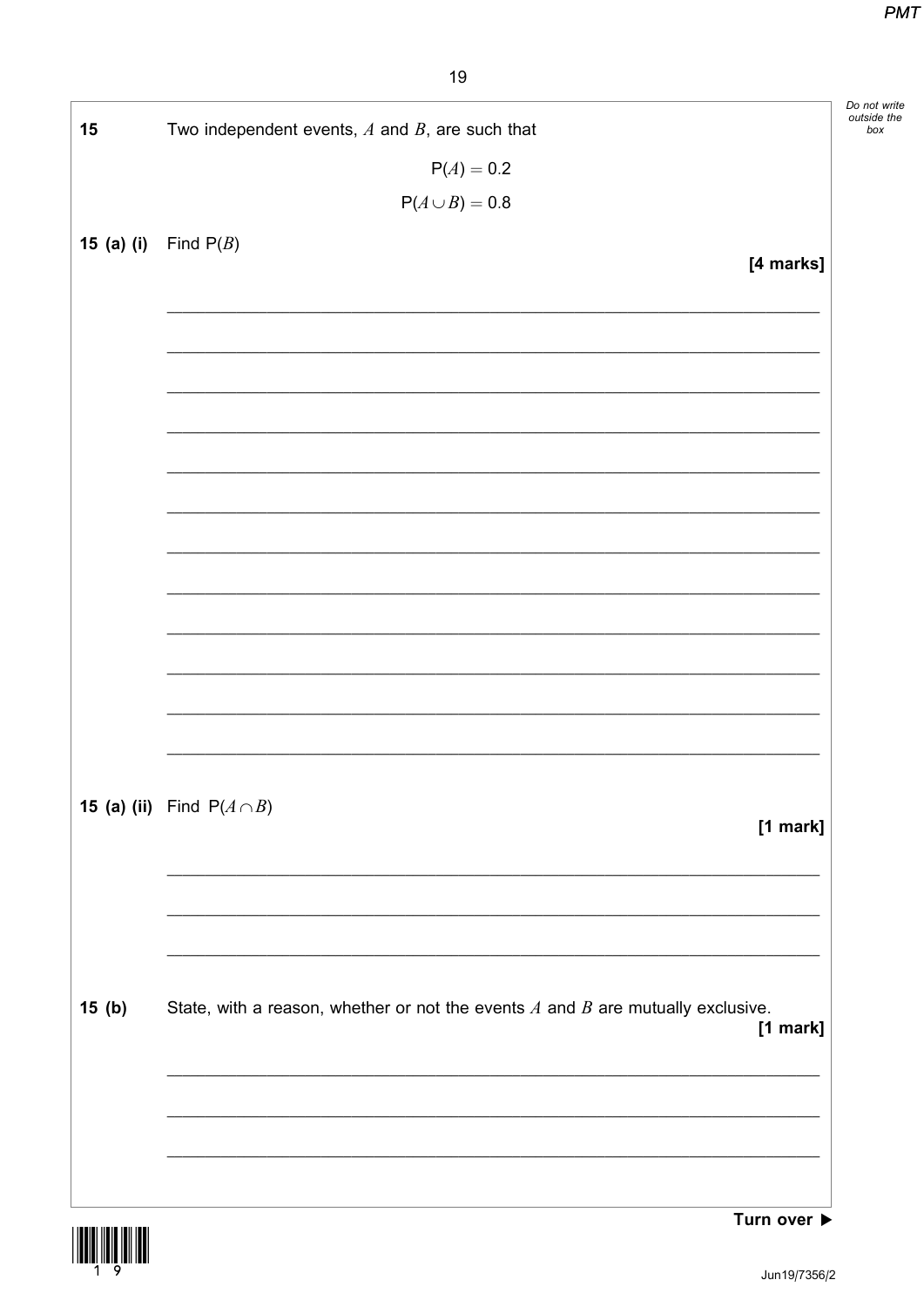| 15         | Two independent events, $A$ and $B$ , are such that                                                                  |
|------------|----------------------------------------------------------------------------------------------------------------------|
|            | $P(A) = 0.2$                                                                                                         |
|            | $P(A \cup B) = 0.8$                                                                                                  |
| 15 (a) (i) | Find $P(B)$                                                                                                          |
|            | [4 marks]                                                                                                            |
|            |                                                                                                                      |
|            |                                                                                                                      |
|            |                                                                                                                      |
|            |                                                                                                                      |
|            |                                                                                                                      |
|            |                                                                                                                      |
|            |                                                                                                                      |
|            |                                                                                                                      |
|            |                                                                                                                      |
|            |                                                                                                                      |
|            |                                                                                                                      |
|            |                                                                                                                      |
|            |                                                                                                                      |
|            |                                                                                                                      |
|            | <b>15 (a) (ii)</b> Find $P(A \cap B)$                                                                                |
|            | $[1$ mark]                                                                                                           |
|            |                                                                                                                      |
|            |                                                                                                                      |
|            |                                                                                                                      |
|            |                                                                                                                      |
| 15(b)      | State, with a reason, whether or not the events $A$ and $B$ are mutually exclusive.                                  |
|            | $[1$ mark]                                                                                                           |
|            | <u> 1989 - Johann John Harry Harry Harry Harry Harry Harry Harry Harry Harry Harry Harry Harry Harry Harry Harry</u> |
|            |                                                                                                                      |
|            |                                                                                                                      |
|            |                                                                                                                      |
|            |                                                                                                                      |

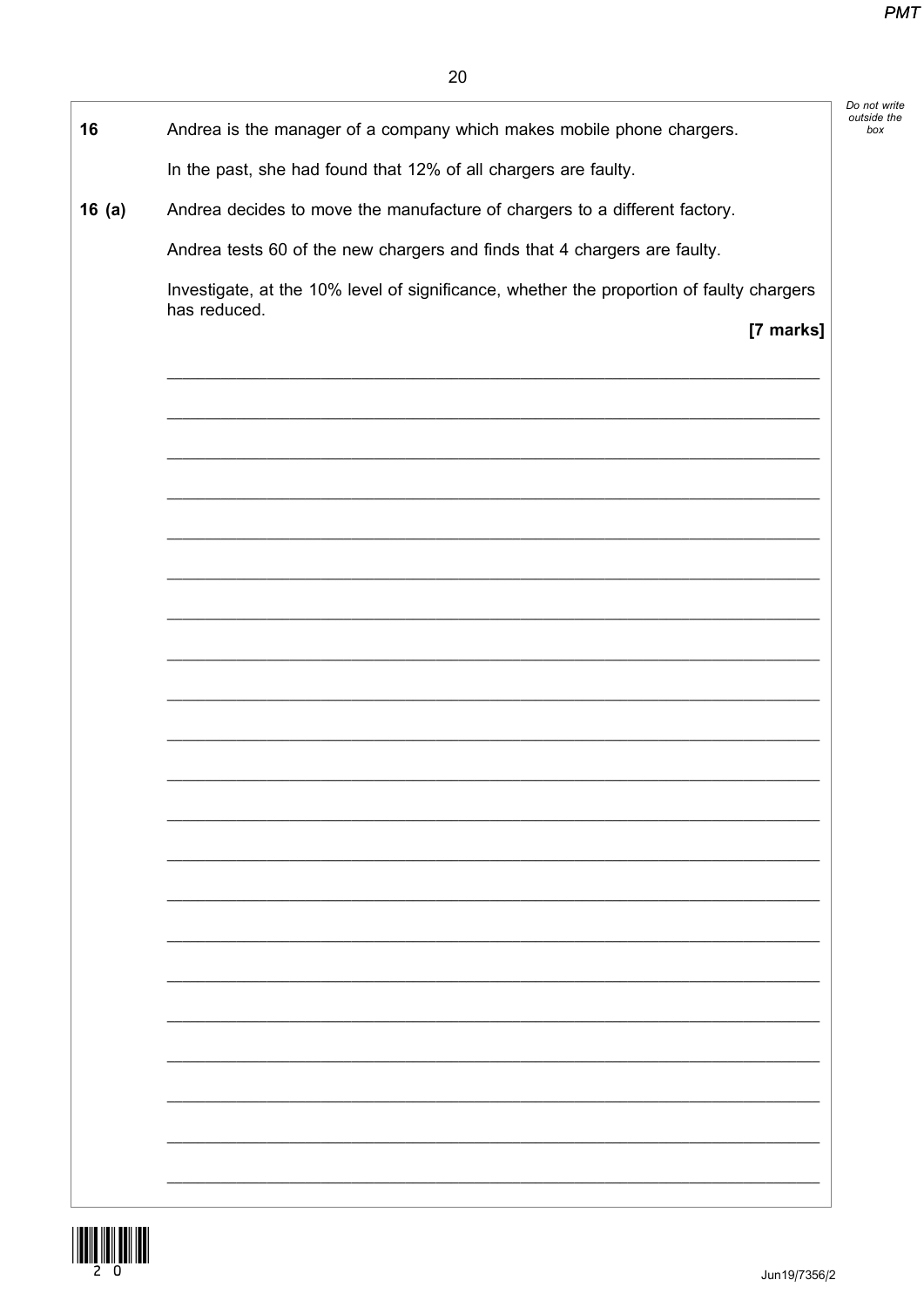| Andrea is the manager of a company which makes mobile phone chargers.<br>16              |           |
|------------------------------------------------------------------------------------------|-----------|
| In the past, she had found that 12% of all chargers are faulty.                          |           |
| Andrea decides to move the manufacture of chargers to a different factory.<br>16(a)      |           |
| Andrea tests 60 of the new chargers and finds that 4 chargers are faulty.                |           |
| Investigate, at the 10% level of significance, whether the proportion of faulty chargers |           |
| has reduced.                                                                             | [7 marks] |
|                                                                                          |           |
|                                                                                          |           |
|                                                                                          |           |
|                                                                                          |           |
|                                                                                          |           |
|                                                                                          |           |
|                                                                                          |           |
|                                                                                          |           |
|                                                                                          |           |
|                                                                                          |           |
|                                                                                          |           |
|                                                                                          |           |
|                                                                                          |           |
|                                                                                          |           |
|                                                                                          |           |
|                                                                                          |           |
|                                                                                          |           |
|                                                                                          |           |
|                                                                                          |           |
|                                                                                          |           |
|                                                                                          |           |
|                                                                                          |           |

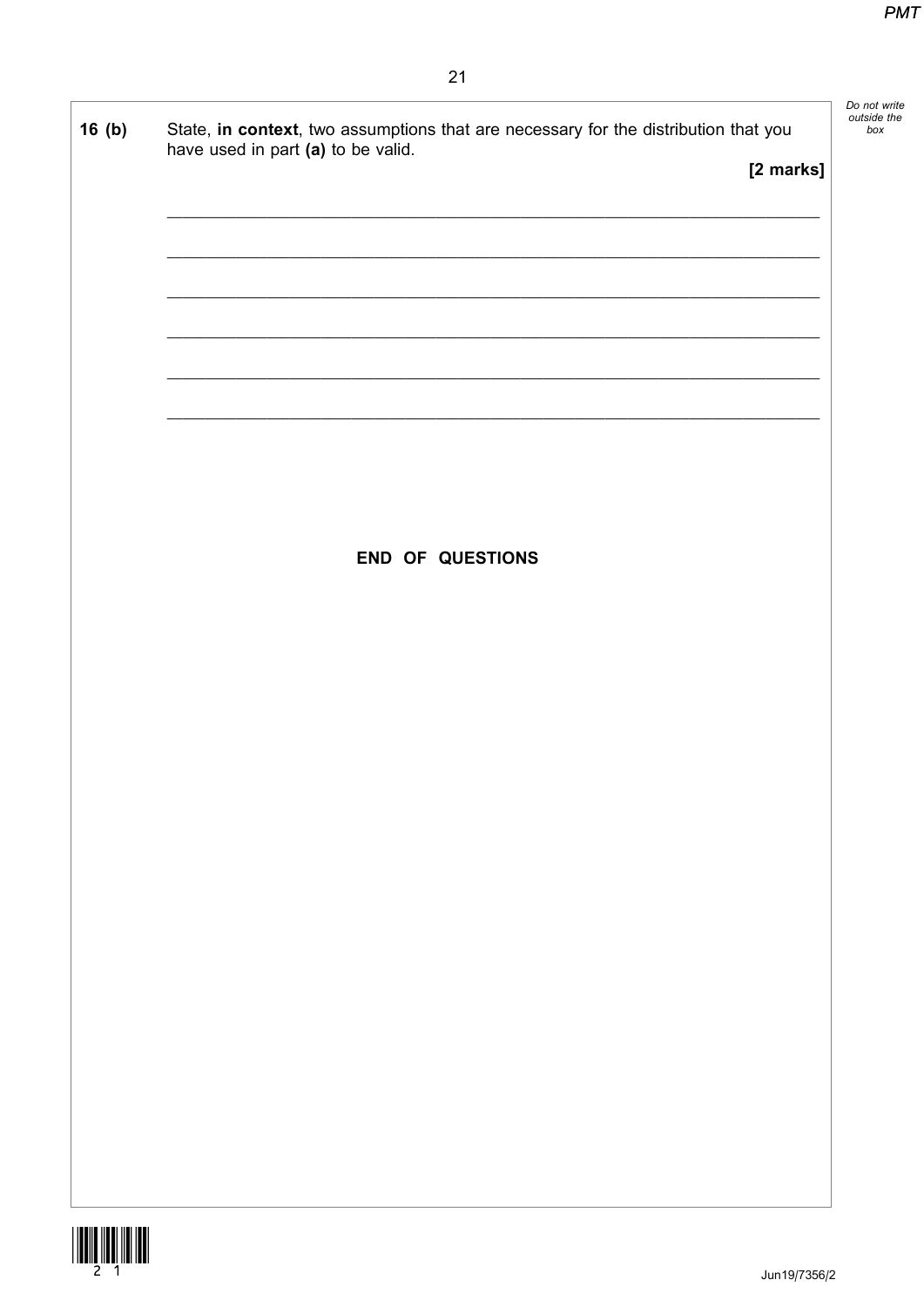| 16(b) | State, in context, two assumptions that are necessary for the distribution that you<br>have used in part (a) to be valid.<br>[2 marks] | Do not write<br>outside the<br>box |
|-------|----------------------------------------------------------------------------------------------------------------------------------------|------------------------------------|
|       | <b>END OF QUESTIONS</b>                                                                                                                |                                    |
|       |                                                                                                                                        |                                    |
|       |                                                                                                                                        |                                    |



 $\mathsf{I}$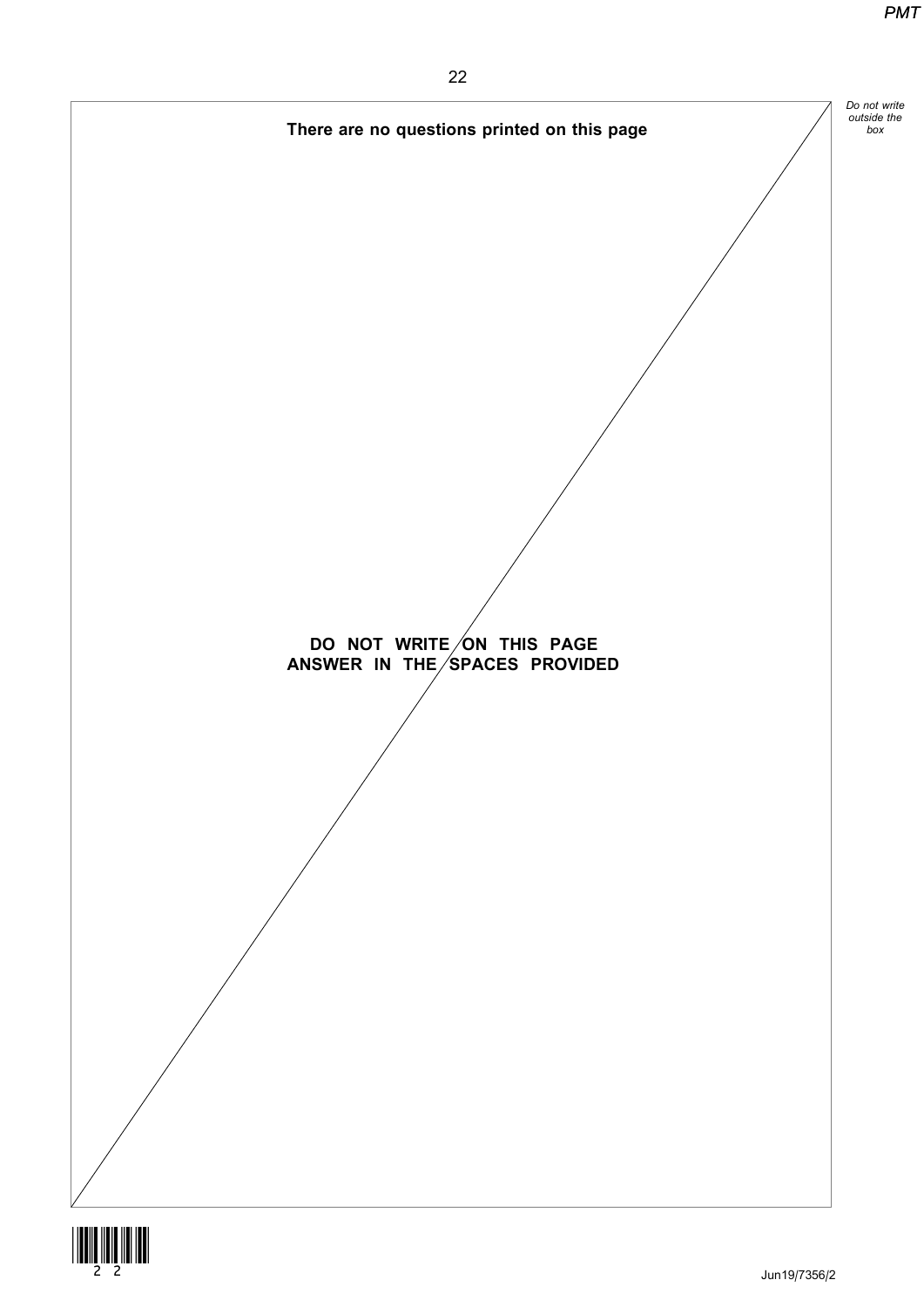



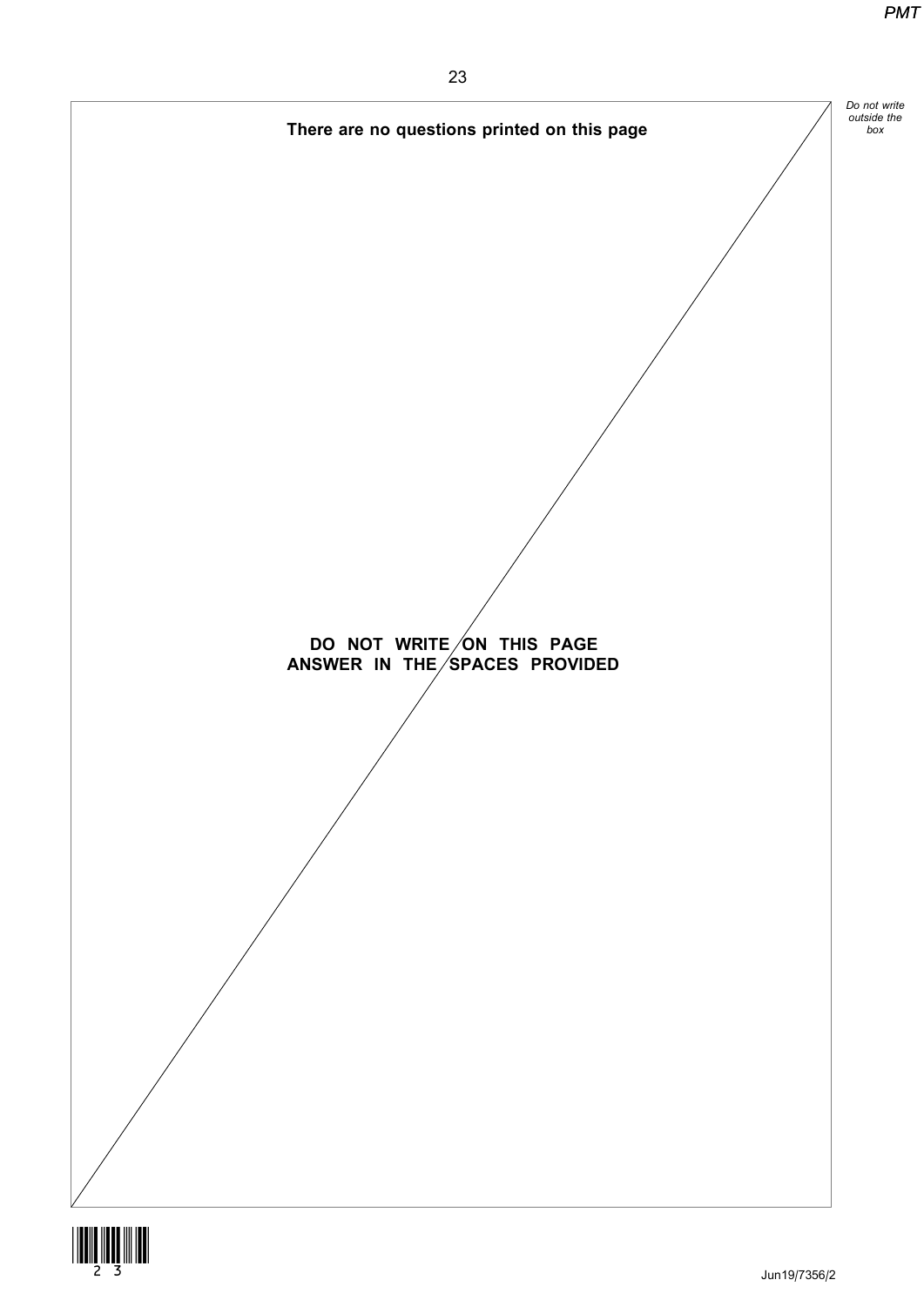